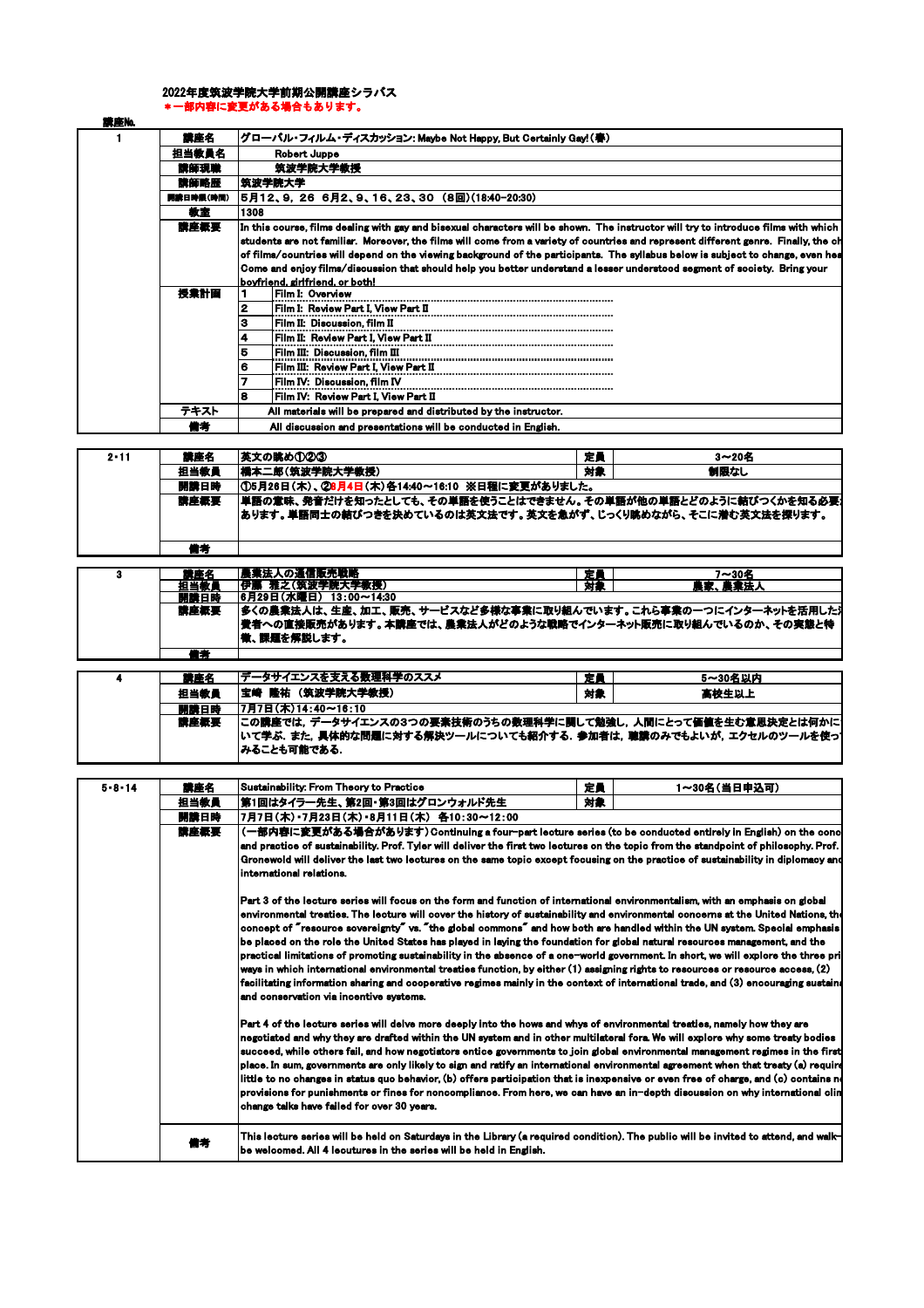## 2022年度筑波学院大学前期公開講座シラバス \*一部内容に変更がある場合もあります。

| 講座No. |           |                                                                                                                                     |  |  |  |  |  |
|-------|-----------|-------------------------------------------------------------------------------------------------------------------------------------|--|--|--|--|--|
|       | 讀座名       | グローバル・フィルム・ディスカッション: Maybe Not Happy, But Certainly Gay!(春)                                                                         |  |  |  |  |  |
|       | 担当教員名     | Robert Juppe                                                                                                                        |  |  |  |  |  |
|       | 講師現職      | 筑波学院大学教授                                                                                                                            |  |  |  |  |  |
|       | 講師略歴      | 筑波学院大学                                                                                                                              |  |  |  |  |  |
|       | 開講日時限(時間) | 5月12、9,26 6月2、9、16、23、30 (8回)(18:40-20:30)                                                                                          |  |  |  |  |  |
|       | 教室        | 1308                                                                                                                                |  |  |  |  |  |
|       | 講座概要      | In this course, films dealing with gay and bisexual characters will be shown. The instructor will try to introduce films with which |  |  |  |  |  |
|       |           | students are not familiar. Moreover, the films will come from a variety of countries and represent different genre. Finally, the ch |  |  |  |  |  |
|       |           | of films/countries will depend on the viewing background of the participants. The syllabus below is subject to change, even hea     |  |  |  |  |  |
|       |           | Come and enjoy films/discussion that should help you better understand a lesser understood segment of society. Bring your           |  |  |  |  |  |
|       |           | boyfriend, girlfriend, or both!                                                                                                     |  |  |  |  |  |
|       | 授業計画      | Film I: Overview                                                                                                                    |  |  |  |  |  |
|       |           | Film I: Review Part I, View Part II<br>2                                                                                            |  |  |  |  |  |
|       |           | Film II: Discussion, film II<br>з                                                                                                   |  |  |  |  |  |
|       |           | Film II: Review Part I, View Part II                                                                                                |  |  |  |  |  |
|       |           | 5<br>Film III: Discussion, film III                                                                                                 |  |  |  |  |  |
|       |           | Film III: Review Part I, View Part II<br>6                                                                                          |  |  |  |  |  |
|       |           | Film IV:  Discussion. film IV                                                                                                       |  |  |  |  |  |
|       |           | Film IV: Review Part I, View Part II<br>8                                                                                           |  |  |  |  |  |
|       | テキスト      | All materials will be prepared and distributed by the instructor.                                                                   |  |  |  |  |  |
|       | 備考        | All discussion and presentations will be conducted in English.                                                                      |  |  |  |  |  |

| $2 - 11$ | 講座名  | 英文の眺め①②③                                     | 定員                                                                                                                            | 3~20名 |  |
|----------|------|----------------------------------------------|-------------------------------------------------------------------------------------------------------------------------------|-------|--|
|          | 担当教員 | 橋本二郎(筑波学院大学教授)                               | 対象                                                                                                                            | 制限なし  |  |
|          | 開講日時 | ①5月26日(木)、②8月4日(木)各14:40~16:10 ※日程に変更がありました。 |                                                                                                                               |       |  |
|          | 講座概要 |                                              | 単語の意味、発音だけを知ったとしても、その単語を使うことはできません。その単語が他の単語とどのように結びつくかを知る必要」<br> あります。単語同士の結びつきを決めているのは英文法です。英文を急がず、じっくり眺めながら、そこに潜む英文法を探ります。 |       |  |
|          | 蕭考   |                                              |                                                                                                                               |       |  |

| 社座名  | 農業法人の通信販売戦略                                                   | 定員 | 7~30名 |
|------|---------------------------------------------------------------|----|-------|
| 担当教师 | 伊藤 雅之(筑波学院大学教授)                                               | 対象 | 農業法人  |
| 開講日時 | 6月29日(水曜日) 13:00~14:30                                        |    |       |
| 講座概要 | 多くの農業法人は、生産、加工、販売、サービスなど多様な事業に取り組んでいます。これら事業の一つにインターネットを活用した汁 |    |       |
|      | 費者への直接販売があります。 本講座では、農業法人がどのような戦略でインターネット販売に取り組んでいるのか、その実態と特  |    |       |
|      | <b> 微、課題を解説します。</b>                                           |    |       |
|      |                                                               |    |       |
| "者"  |                                                               |    |       |

| 講座名  | データサイエンスを支える数理科学のススメ                                             | 定員 | 5~30名以内 |  |
|------|------------------------------------------------------------------|----|---------|--|
| 担当教員 | 宝崎 隆祐 (筑波学院大学教授)                                                 | 対象 | 高校生以上   |  |
| 開講日時 | 17月7日(木)14:40~16:10                                              |    |         |  |
| 講座概要 | この講座では, データサイエンスの3つの要素技術のうちの数理科学に関して勉強し, 人間にとって価値を生む意思決定とは何かに    |    |         |  |
|      | いて学ぶ. また. 具体的な問題に対する解決ツールについても紹介する. 参加者は. 聴講のみでもよいが. エクセルのツールを使っ |    |         |  |
|      | みることも可能である.                                                      |    |         |  |

| $5 - 8 - 14$ | 講座名  | Sustainability: From Theory to Practice                                                                                                                                                                                                                                                                                                                                                                                                                                                                                                                                                                                                                                                                                                                                                                                                                                                                                                                                                         | 定員 | 1~30名(当日申込可) |  |  |  |
|--------------|------|-------------------------------------------------------------------------------------------------------------------------------------------------------------------------------------------------------------------------------------------------------------------------------------------------------------------------------------------------------------------------------------------------------------------------------------------------------------------------------------------------------------------------------------------------------------------------------------------------------------------------------------------------------------------------------------------------------------------------------------------------------------------------------------------------------------------------------------------------------------------------------------------------------------------------------------------------------------------------------------------------|----|--------------|--|--|--|
|              | 担当教員 | 第1回はタイラ一先生、第2回・第3回はグロンウォルド先生                                                                                                                                                                                                                                                                                                                                                                                                                                                                                                                                                                                                                                                                                                                                                                                                                                                                                                                                                                    | 対象 |              |  |  |  |
|              | 開講日時 | 7月7日(木)•7月23日(木)•8月11日(木) 各10:30~12:00                                                                                                                                                                                                                                                                                                                                                                                                                                                                                                                                                                                                                                                                                                                                                                                                                                                                                                                                                          |    |              |  |  |  |
|              | 講座概要 | (一部内容に変更がある場合があります)Continuing a four-part lecture series (to be conducted entirely in English) on the conc                                                                                                                                                                                                                                                                                                                                                                                                                                                                                                                                                                                                                                                                                                                                                                                                                                                                                      |    |              |  |  |  |
|              |      | and practice of sustainability. Prof. Tyler will deliver the first two lectures on the topic from the standpoint of philosophy. Prof.                                                                                                                                                                                                                                                                                                                                                                                                                                                                                                                                                                                                                                                                                                                                                                                                                                                           |    |              |  |  |  |
|              |      | Gronewold will deliver the last two lectures on the same topic except focusing on the practice of sustainability in diplomacy and                                                                                                                                                                                                                                                                                                                                                                                                                                                                                                                                                                                                                                                                                                                                                                                                                                                               |    |              |  |  |  |
|              |      | international relations.                                                                                                                                                                                                                                                                                                                                                                                                                                                                                                                                                                                                                                                                                                                                                                                                                                                                                                                                                                        |    |              |  |  |  |
|              |      | Part 3 of the lecture series will focus on the form and function of international environmentalism, with an emphasis on global<br>environmental treaties. The lecture will cover the history of sustainability and environmental concerns at the United Nations, the<br>concept of "resource sovereignty" vs. "the global commons" and how both are handled within the UN system. Special emphasis<br>be placed on the role the United States has played in laying the foundation for global natural resources management, and the<br>practical limitations of promoting sustainability in the absence of a one-world government. In short, we will explore the three pril<br>ways in which international environmental treaties function, by either (1) assigning rights to resources or resource access, (2)<br>facilitating information sharing and cooperative regimes mainly in the context of international trade, and (3) encouraging sustain<br>and conservation via incentive systems. |    |              |  |  |  |
|              |      | Part 4 of the lecture series will delve more deeply into the hows and whys of environmental treaties, namely how they are<br>negotiated and why they are drafted within the UN system and in other multilateral fora. We will explore why some treaty bodies<br>succeed, while others fail, and how negotiators entice governments to join global environmental management regimes in the first<br>place. In sum, governments are only likely to sign and ratify an international environmental agreement when that treaty (a) require<br>little to no changes in status quo behavior, (b) offers participation that is inexpensive or even free of charge, and (c) contains no<br>provisions for punishments or fines for noncompliance. From here, we can have an in−depth discussion on why international clin<br>change talks have failed for over 30 years.                                                                                                                                |    |              |  |  |  |
|              | 詩書   | This lecture series will be held on Saturdays in the Library (a required condition). The public will be invited to attend, and walk-<br>be welcomed. All 4 lecutures in the series will be held in English.                                                                                                                                                                                                                                                                                                                                                                                                                                                                                                                                                                                                                                                                                                                                                                                     |    |              |  |  |  |